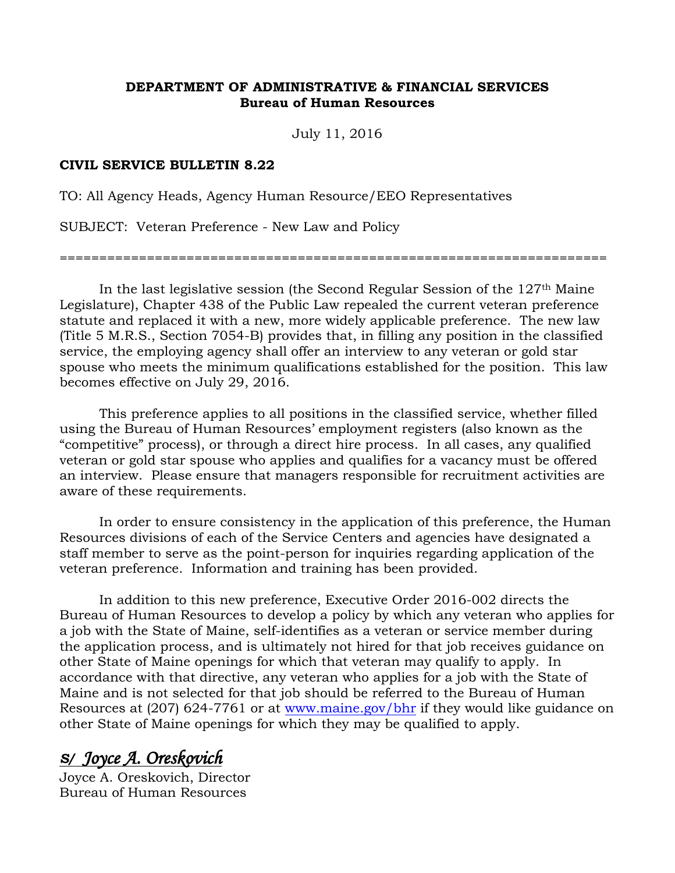## **DEPARTMENT OF ADMINISTRATIVE & FINANCIAL SERVICES Bureau of Human Resources**

July 11, 2016

## **CIVIL SERVICE BULLETIN 8.22**

TO: All Agency Heads, Agency Human Resource/EEO Representatives

SUBJECT: Veteran Preference - New Law and Policy

=====================================================================

In the last legislative session (the Second Regular Session of the 127th Maine Legislature), Chapter 438 of the Public Law repealed the current veteran preference statute and replaced it with a new, more widely applicable preference. The new law (Title 5 M.R.S., Section 7054-B) provides that, in filling any position in the classified service, the employing agency shall offer an interview to any veteran or gold star spouse who meets the minimum qualifications established for the position. This law becomes effective on July 29, 2016.

This preference applies to all positions in the classified service, whether filled using the Bureau of Human Resources' employment registers (also known as the "competitive" process), or through a direct hire process. In all cases, any qualified veteran or gold star spouse who applies and qualifies for a vacancy must be offered an interview. Please ensure that managers responsible for recruitment activities are aware of these requirements.

In order to ensure consistency in the application of this preference, the Human Resources divisions of each of the Service Centers and agencies have designated a staff member to serve as the point-person for inquiries regarding application of the veteran preference. Information and training has been provided.

In addition to this new preference, Executive Order 2016-002 directs the Bureau of Human Resources to develop a policy by which any veteran who applies for a job with the State of Maine, self-identifies as a veteran or service member during the application process, and is ultimately not hired for that job receives guidance on other State of Maine openings for which that veteran may qualify to apply. In accordance with that directive, any veteran who applies for a job with the State of Maine and is not selected for that job should be referred to the Bureau of Human Resources at (207) 624-7761 or at [www.maine.gov/bhr](http://www.maine.gov/bhr) if they would like guidance on other State of Maine openings for which they may be qualified to apply.

## *S/ Joyce A. Oreskovich*

Joyce A. Oreskovich, Director Bureau of Human Resources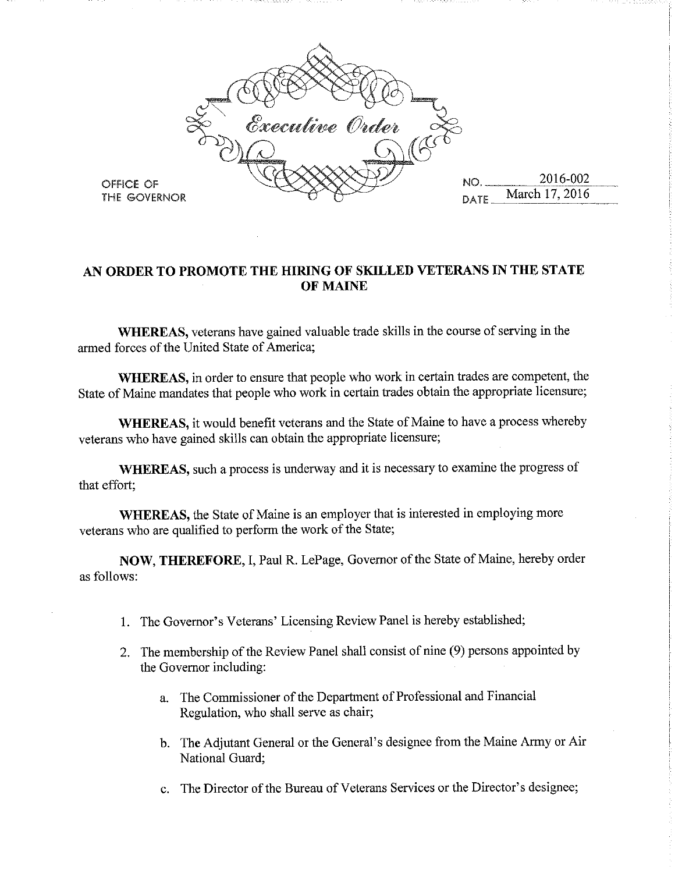

## AN ORDER TO PROMOTE THE HIRING OF SKILLED VETERANS IN THE STATE **OF MAINE**

**WHEREAS**, veterans have gained valuable trade skills in the course of serving in the armed forces of the United State of America;

WHEREAS, in order to ensure that people who work in certain trades are competent, the State of Maine mandates that people who work in certain trades obtain the appropriate licensure;

WHEREAS, it would benefit veterans and the State of Maine to have a process whereby veterans who have gained skills can obtain the appropriate licensure;

WHEREAS, such a process is underway and it is necessary to examine the progress of that effort;

WHEREAS, the State of Maine is an employer that is interested in employing more veterans who are qualified to perform the work of the State;

NOW, THEREFORE, I, Paul R. LePage, Governor of the State of Maine, hereby order as follows:

- 1. The Governor's Veterans' Licensing Review Panel is hereby established;
- 2. The membership of the Review Panel shall consist of nine (9) persons appointed by the Governor including:
	- a. The Commissioner of the Department of Professional and Financial Regulation, who shall serve as chair;
	- b. The Adjutant General or the General's designee from the Maine Army or Air National Guard;
	- c. The Director of the Bureau of Veterans Services or the Director's designee;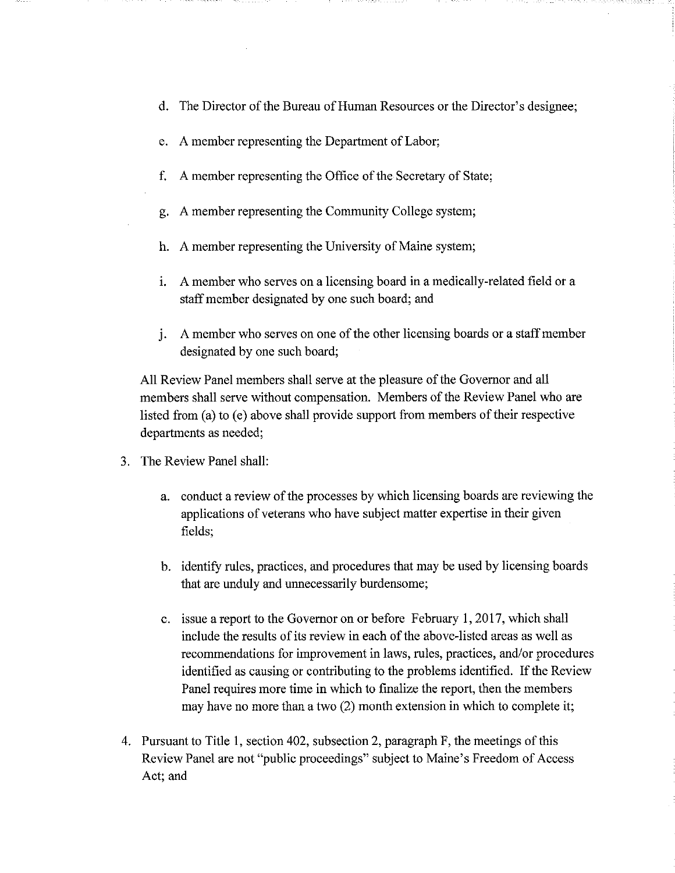- d. The Director of the Bureau of Human Resources or the Director's designee;
- A member representing the Department of Labor; e.
- A member representing the Office of the Secretary of State;  $f_{\rm{r}}$
- A member representing the Community College system; g.
- h. A member representing the University of Maine system;
- i. A member who serves on a licensing board in a medically-related field or a staff member designated by one such board; and
- j. A member who serves on one of the other licensing boards or a staff member designated by one such board;

All Review Panel members shall serve at the pleasure of the Governor and all members shall serve without compensation. Members of the Review Panel who are listed from (a) to (e) above shall provide support from members of their respective departments as needed;

- 3. The Review Panel shall:
	- a. conduct a review of the processes by which licensing boards are reviewing the applications of veterans who have subject matter expertise in their given fields;
	- b. identify rules, practices, and procedures that may be used by licensing boards that are unduly and unnecessarily burdensome;
	- c. issue a report to the Governor on or before February 1, 2017, which shall include the results of its review in each of the above-listed areas as well as recommendations for improvement in laws, rules, practices, and/or procedures identified as causing or contributing to the problems identified. If the Review Panel requires more time in which to finalize the report, then the members may have no more than a two (2) month extension in which to complete it;
- 4. Pursuant to Title 1, section 402, subsection 2, paragraph F, the meetings of this Review Panel are not "public proceedings" subject to Maine's Freedom of Access Act; and